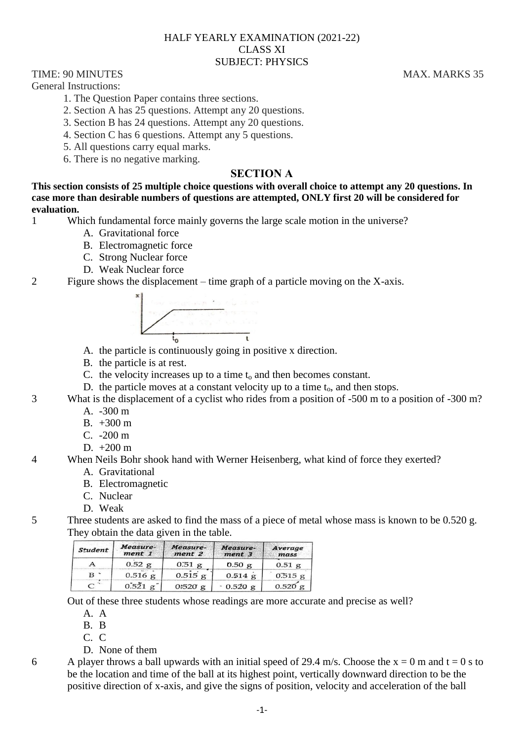### HALF YEARLY EXAMINATION (2021-22) CLASS XI SUBJECT: PHYSICS

TIME: 90 MINUTES MAX. MARKS 35

General Instructions:

- 1. The Question Paper contains three sections.
- 2. Section A has 25 questions. Attempt any 20 questions.
- 3. Section B has 24 questions. Attempt any 20 questions.
- 4. Section C has 6 questions. Attempt any 5 questions.
- 5. All questions carry equal marks.
- 6. There is no negative marking.

# **SECTION A**

**This section consists of 25 multiple choice questions with overall choice to attempt any 20 questions. In case more than desirable numbers of questions are attempted, ONLY first 20 will be considered for evaluation.**

- 1 Which fundamental force mainly governs the large scale motion in the universe?
	- A. Gravitational force
	- B. Electromagnetic force
	- C. Strong Nuclear force
	- D. Weak Nuclear force
- 2 Figure shows the displacement time graph of a particle moving on the X-axis.



- A. the particle is continuously going in positive x direction.
- B. the particle is at rest.
- C. the velocity increases up to a time  $t_0$  and then becomes constant.
- D. the particle moves at a constant velocity up to a time  $t_0$ , and then stops.
- 3 What is the displacement of a cyclist who rides from a position of -500 m to a position of -300 m?
	- A. -300 m
	- B.  $+300 \text{ m}$
	- C. -200 m
	- D.  $+200 \text{ m}$
- 4 When Neils Bohr shook hand with Werner Heisenberg, what kind of force they exerted?
	- A. Gravitational
	- B. Electromagnetic
	- C. Nuclear
	- D. Weak
- 5 Three students are asked to find the mass of a piece of metal whose mass is known to be 0.520 g. They obtain the data given in the table.

| Student | Measure-<br>ment 1     | Measure-<br>ment 2 | Measure-<br>ment 3 | Average<br>mass |
|---------|------------------------|--------------------|--------------------|-----------------|
| A       | 0.52 g                 | $0.51$ g           | 0.50g              | $0.51$ g        |
| в       | $0.516$ g              | $0.515$ g          | $0.514$ g          | $0.515$ g       |
|         | $0.521 \text{ g}^{-1}$ | 0:520g             | $0.520$ g          | $0.520$ g       |

Out of these three students whose readings are more accurate and precise as well?

- A. A
- B. B
- C. C
- D. None of them
- 6 A player throws a ball upwards with an initial speed of 29.4 m/s. Choose the  $x = 0$  m and  $t = 0$  s to be the location and time of the ball at its highest point, vertically downward direction to be the positive direction of x-axis, and give the signs of position, velocity and acceleration of the ball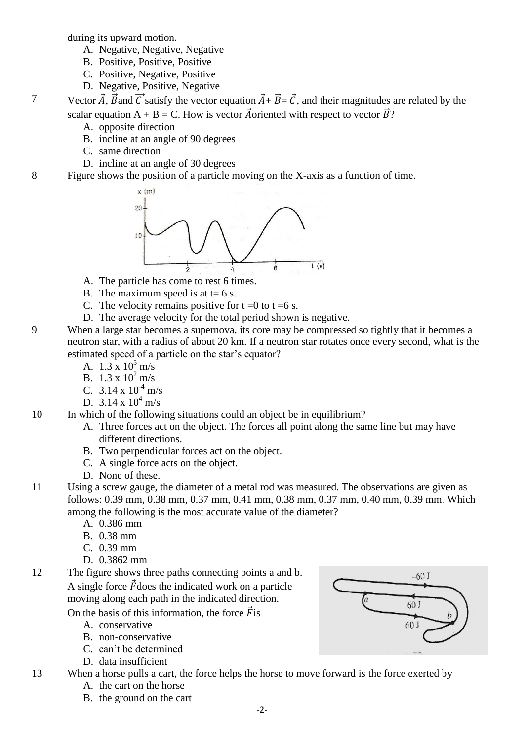during its upward motion.

- A. Negative, Negative, Negative
- B. Positive, Positive, Positive
- C. Positive, Negative, Positive
- D. Negative, Positive, Negative

7 Vector  $\vec{A}$ ,  $\vec{B}$  and  $\vec{C}$  satisfy the vector equation  $\vec{A} + \vec{B} = \vec{C}$ , and their magnitudes are related by the scalar equation A + B = C. How is vector  $\vec{A}$  oriented with respect to vector  $\vec{B}$ ?

- A. opposite direction
- B. incline at an angle of 90 degrees
- C. same direction
- D. incline at an angle of 30 degrees
- 8 Figure shows the position of a particle moving on the X-axis as a function of time.



- A. The particle has come to rest 6 times.
- B. The maximum speed is at  $t=6$  s.
- C. The velocity remains positive for  $t = 0$  to  $t = 6$  s.
- D. The average velocity for the total period shown is negative.
- 9 When a large star becomes a supernova, its core may be compressed so tightly that it becomes a neutron star, with a radius of about 20 km. If a neutron star rotates once every second, what is the estimated speed of a particle on the star's equator?
	- A.  $1.3 \times 10^5$  m/s
	- B.  $1.3 \times 10^2$  m/s
	- C.  $3.14 \times 10^{-4}$  m/s
	- D.  $3.14 \times 10^4$  m/s

10 In which of the following situations could an object be in equilibrium?

- A. Three forces act on the object. The forces all point along the same line but may have different directions.
- B. Two perpendicular forces act on the object.
- C. A single force acts on the object.
- D. None of these.
- 11 Using a screw gauge, the diameter of a metal rod was measured. The observations are given as follows: 0.39 mm, 0.38 mm, 0.37 mm, 0.41 mm, 0.38 mm, 0.37 mm, 0.40 mm, 0.39 mm. Which among the following is the most accurate value of the diameter?
	- A. 0.386 mm
	- B. 0.38 mm
	- $C. 0.39$  mm
	- D. 0.3862 mm
- 12 The figure shows three paths connecting points a and b. A single force  $\vec{F}$  does the indicated work on a particle moving along each path in the indicated direction.
	- On the basis of this information, the force  $\vec{F}$  is
		- A. conservative
		- B. non-conservative
		- C. can't be determined
		- D. data insufficient
- 13 When a horse pulls a cart, the force helps the horse to move forward is the force exerted by
	- A. the cart on the horse
	- B. the ground on the cart

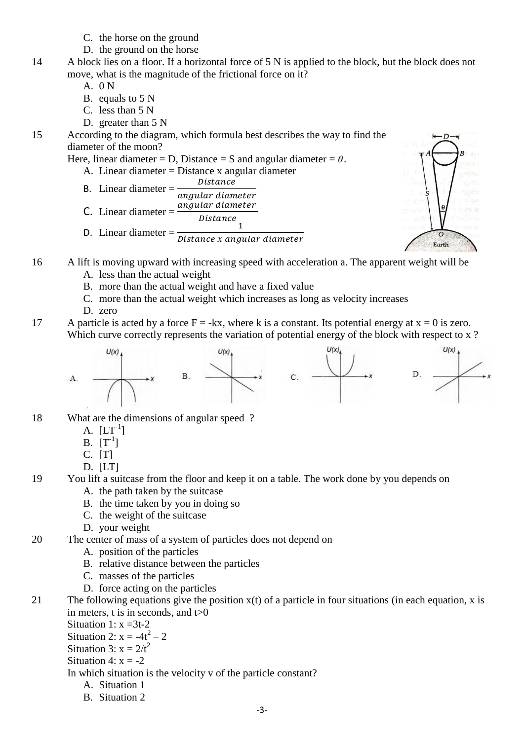- C. the horse on the ground
- D. the ground on the horse
- 14 A block lies on a floor. If a horizontal force of 5 N is applied to the block, but the block does not move, what is the magnitude of the frictional force on it?
	- A. 0 N
	- B. equals to 5 N
	- C. less than 5 N
	- D. greater than 5 N
- 15 According to the diagram, which formula best describes the way to find the diameter of the moon?

Here, linear diameter = D, Distance = S and angular diameter = 
$$
\theta
$$
.

- A. Linear diameter = Distance x angular diameter
- B. Linear diameter =  $\frac{D}{\epsilon}$
- $\alpha$ **C.** Linear diameter  $=$  $angular\ diameter$ Distance
- D. Linear diameter  $=\frac{1}{\pi}$ D



- 16 A lift is moving upward with increasing speed with acceleration a. The apparent weight will be
	- A. less than the actual weight
	- B. more than the actual weight and have a fixed value
	- C. more than the actual weight which increases as long as velocity increases
	- D. zero
- 17 A particle is acted by a force  $F = -kx$ , where k is a constant. Its potential energy at  $x = 0$  is zero. Which curve correctly represents the variation of potential energy of the block with respect to x?



- 18 What are the dimensions of angular speed ?
	- A.  $[LT^{-1}]$
	- $B. [T^{-1}]$
	- C. [T]
	- D. [LT]
- 19 You lift a suitcase from the floor and keep it on a table. The work done by you depends on A. the path taken by the suitcase
	- B. the time taken by you in doing so
	- C. the weight of the suitcase
	- D. your weight
- 20 The center of mass of a system of particles does not depend on
	- A. position of the particles
	- B. relative distance between the particles
	- C. masses of the particles
	- D. force acting on the particles
- 21 The following equations give the position  $x(t)$  of a particle in four situations (in each equation, x is in meters, t is in seconds, and  $t>0$ 
	- Situation 1:  $x = 3t-2$
	- Situation 2:  $x = -4t^2 2$
	- Situation 3:  $x = 2/t^2$
	- Situation 4:  $x = -2$
	- In which situation is the velocity v of the particle constant?
		- A. Situation 1
		- B. Situation 2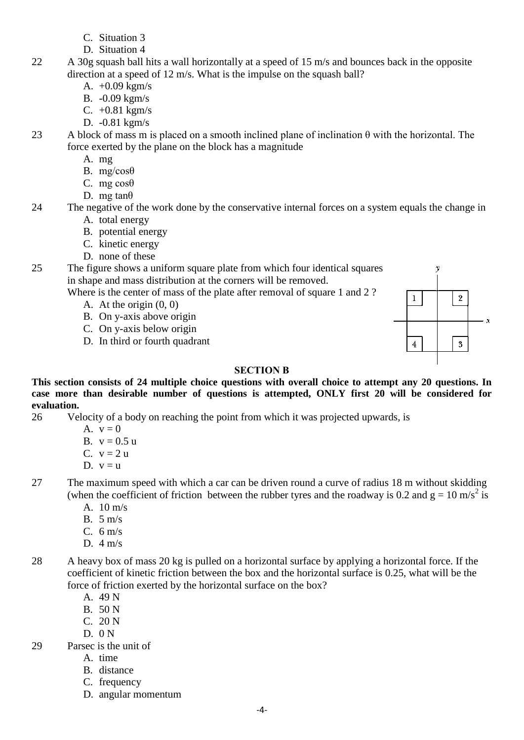- C. Situation 3
- D. Situation 4
- 22 A 30g squash ball hits a wall horizontally at a speed of 15 m/s and bounces back in the opposite direction at a speed of 12 m/s. What is the impulse on the squash ball?
	- A. +0.09 kgm/s
	- B. -0.09 kgm/s
	- C. +0.81 kgm/s
	- D. -0.81 kgm/s
- 23 A block of mass m is placed on a smooth inclined plane of inclination  $\theta$  with the horizontal. The force exerted by the plane on the block has a magnitude
	- A. mg
	- B. mg/cosθ
	- C. mg $\cos\theta$
	- D. mg tan $\theta$
- 24 The negative of the work done by the conservative internal forces on a system equals the change in A. total energy
	- B. potential energy
	- C. kinetic energy
	- D. none of these

25 The figure shows a uniform square plate from which four identical squares in shape and mass distribution at the corners will be removed.

Where is the center of mass of the plate after removal of square 1 and 2?

- A. At the origin (0, 0)
- B. On y-axis above origin
- C. On y-axis below origin
- D. In third or fourth quadrant

## **SECTION B**

**This section consists of 24 multiple choice questions with overall choice to attempt any 20 questions. In case more than desirable number of questions is attempted, ONLY first 20 will be considered for evaluation.**

- 26 Velocity of a body on reaching the point from which it was projected upwards, is
	- A.  $v = 0$
	- B.  $v = 0.5 u$
	- C.  $v = 2 u$
	- D.  $v = u$
- 27 The maximum speed with which a car can be driven round a curve of radius 18 m without skidding (when the coefficient of friction between the rubber tyres and the roadway is 0.2 and  $g = 10$  m/s<sup>2</sup> is
	- A. 10 m/s
	- B. 5 m/s
	- C. 6 m/s
	- D. 4 m/s
- 28 A heavy box of mass 20 kg is pulled on a horizontal surface by applying a horizontal force. If the coefficient of kinetic friction between the box and the horizontal surface is 0.25, what will be the force of friction exerted by the horizontal surface on the box?
	- A. 49 N
	- B. 50 N
	- C. 20 N
	- $D. 0 N$
- 29 Parsec is the unit of
	- A. time
	- B. distance
	- C. frequency
	- D. angular momentum

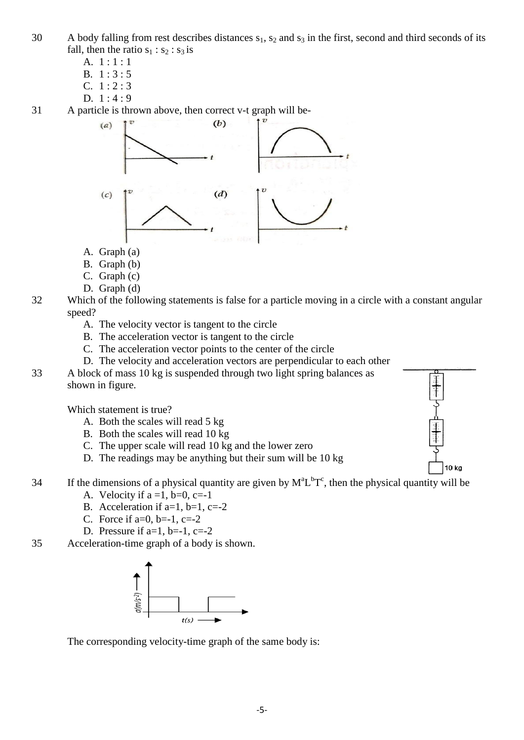- 30 A body falling from rest describes distances  $s_1$ ,  $s_2$  and  $s_3$  in the first, second and third seconds of its fall, then the ratio  $s_1 : s_2 : s_3$  is
	- A. 1 : 1 : 1
	- B. 1 : 3 : 5
	- C.  $1:2:3$
	- D.  $1:4:9$

31 A particle is thrown above, then correct v-t graph will be-



- A. Graph (a)
- B. Graph (b)
- C. Graph (c)
- D. Graph (d)
- 32 Which of the following statements is false for a particle moving in a circle with a constant angular speed?
	- A. The velocity vector is tangent to the circle
	- B. The acceleration vector is tangent to the circle
	- C. The acceleration vector points to the center of the circle
	- D. The velocity and acceleration vectors are perpendicular to each other
- 33 A block of mass 10 kg is suspended through two light spring balances as shown in figure.

Which statement is true?

- A. Both the scales will read 5 kg
- B. Both the scales will read 10 kg
- C. The upper scale will read 10 kg and the lower zero
- D. The readings may be anything but their sum will be 10 kg
- 34 If the dimensions of a physical quantity are given by  $M^a L^b T^c$ , then the physical quantity will be
	- A. Velocity if  $a = 1$ ,  $b=0$ ,  $c=-1$
	- B. Acceleration if  $a=1$ ,  $b=1$ ,  $c=-2$
	- C. Force if  $a=0$ ,  $b=-1$ ,  $c=-2$
	- D. Pressure if  $a=1$ ,  $b=-1$ ,  $c=-2$
- 35 Acceleration-time graph of a body is shown.



The corresponding velocity-time graph of the same body is:

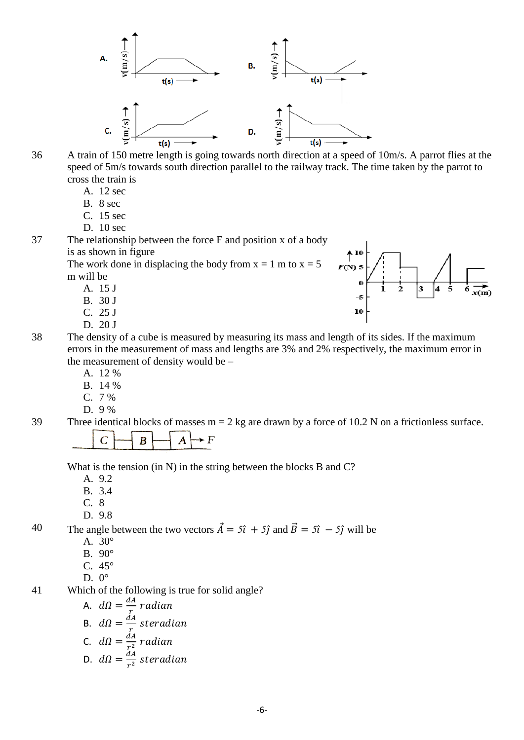

36 A train of 150 metre length is going towards north direction at a speed of 10m/s. A parrot flies at the speed of 5m/s towards south direction parallel to the railway track. The time taken by the parrot to cross the train is

- A. 12 sec
- B. 8 sec
- C. 15 sec
- D. 10 sec

37 The relationship between the force F and position x of a body is as shown in figure

The work done in displacing the body from  $x = 1$  m to  $x = 5$ m will be

- A. 15 J
- B. 30 J
- C. 25 J
- D. 20 J



- 38 The density of a cube is measured by measuring its mass and length of its sides. If the maximum errors in the measurement of mass and lengths are 3% and 2% respectively, the maximum error in the measurement of density would be –
	- A. 12 %
	- B. 14 %
	- C. 7 %
	- D. 9 %

39 Three identical blocks of masses  $m = 2$  kg are drawn by a force of 10.2 N on a frictionless surface.  $\overline{C}$ B  $\blacktriangleright F$ 

What is the tension (in N) in the string between the blocks B and C?

A. 9.2

- B. 3.4
- C. 8
- D. 9.8

40 The angle between the two vectors  $\vec{A} = 5\hat{i} + 5\hat{j}$  and  $\vec{B} = 5\hat{i} - 5\hat{j}$  will be

- A. 30°
- B. 90°
- C. 45°
- D.  $0^{\circ}$

41 Which of the following is true for solid angle?

A. 
$$
d\Omega = \frac{dA}{r}
$$
 radian  
\nB.  $d\Omega = \frac{dA}{r}$  steradian  
\nC.  $d\Omega = \frac{dA}{r^2}$  radian  
\nD.  $d\Omega = \frac{dA}{r^2}$  steradian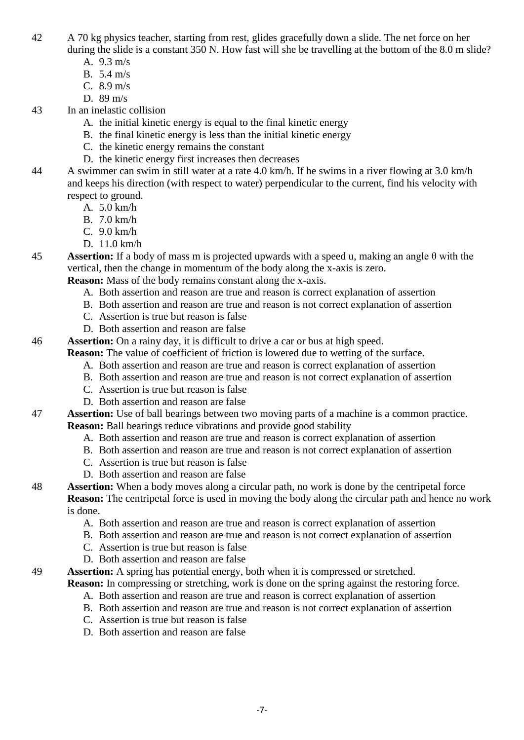- 42 A 70 kg physics teacher, starting from rest, glides gracefully down a slide. The net force on her during the slide is a constant 350 N. How fast will she be travelling at the bottom of the 8.0 m slide?
	- A. 9.3 m/s
	- B. 5.4 m/s
	- C. 8.9 m/s
	- D. 89 m/s
- 43 In an inelastic collision
	- A. the initial kinetic energy is equal to the final kinetic energy
	- B. the final kinetic energy is less than the initial kinetic energy
	- C. the kinetic energy remains the constant
	- D. the kinetic energy first increases then decreases
- 44 A swimmer can swim in still water at a rate 4.0 km/h. If he swims in a river flowing at 3.0 km/h and keeps his direction (with respect to water) perpendicular to the current, find his velocity with respect to ground.
	- A. 5.0 km/h
	- B. 7.0 km/h
	- C. 9.0 km/h
	- D. 11.0 km/h

45 **Assertion:** If a body of mass m is projected upwards with a speed u, making an angle θ with the vertical, then the change in momentum of the body along the x-axis is zero.

**Reason:** Mass of the body remains constant along the x-axis.

- A. Both assertion and reason are true and reason is correct explanation of assertion
- B. Both assertion and reason are true and reason is not correct explanation of assertion
- C. Assertion is true but reason is false
- D. Both assertion and reason are false
- 46 **Assertion:** On a rainy day, it is difficult to drive a car or bus at high speed.
	- **Reason:** The value of coefficient of friction is lowered due to wetting of the surface.
		- A. Both assertion and reason are true and reason is correct explanation of assertion
		- B. Both assertion and reason are true and reason is not correct explanation of assertion
		- C. Assertion is true but reason is false
		- D. Both assertion and reason are false

47 **Assertion:** Use of ball bearings between two moving parts of a machine is a common practice. **Reason:** Ball bearings reduce vibrations and provide good stability

- A. Both assertion and reason are true and reason is correct explanation of assertion
- B. Both assertion and reason are true and reason is not correct explanation of assertion
- C. Assertion is true but reason is false
- D. Both assertion and reason are false
- 48 **Assertion:** When a body moves along a circular path, no work is done by the centripetal force **Reason:** The centripetal force is used in moving the body along the circular path and hence no work is done.
	- A. Both assertion and reason are true and reason is correct explanation of assertion
	- B. Both assertion and reason are true and reason is not correct explanation of assertion
	- C. Assertion is true but reason is false
	- D. Both assertion and reason are false
- 49 **Assertion:** A spring has potential energy, both when it is compressed or stretched.

**Reason:** In compressing or stretching, work is done on the spring against the restoring force.

- A. Both assertion and reason are true and reason is correct explanation of assertion
- B. Both assertion and reason are true and reason is not correct explanation of assertion
- C. Assertion is true but reason is false
- D. Both assertion and reason are false